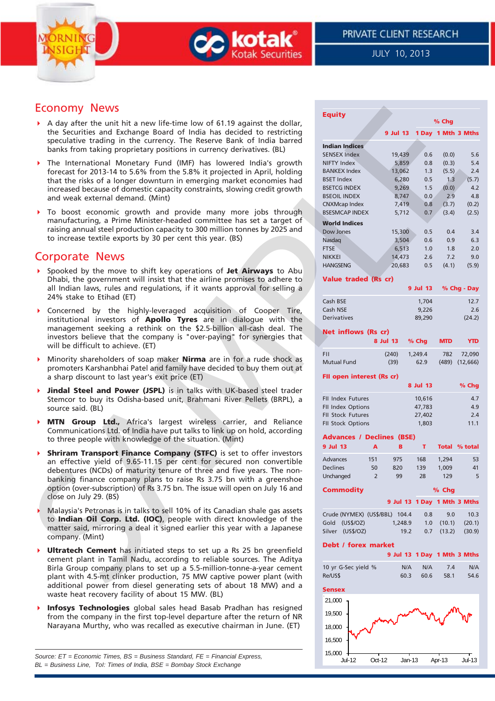



JULY 10, 2013

# Economy News

- A day after the unit hit a new life-time low of 61.19 against the dollar, the Securities and Exchange Board of India has decided to restricting speculative trading in the currency. The Reserve Bank of India barred banks from taking proprietary positions in currency derivatives. (BL)
- The International Monetary Fund (IMF) has lowered India's growth forecast for 2013-14 to 5.6% from the 5.8% it projected in April, holding that the risks of a longer downturn in emerging market economies had increased because of domestic capacity constraints, slowing credit growth and weak external demand. (Mint)
- To boost economic growth and provide many more jobs through manufacturing, a Prime Minister-headed committee has set a target of raising annual steel production capacity to 300 million tonnes by 2025 and to increase textile exports by 30 per cent this year. (BS)

# Corporate News

- Spooked by the move to shift key operations of **Jet Airways** to Abu Dhabi, the government will insist that the airline promises to adhere to all Indian laws, rules and regulations, if it wants approval for selling a 24% stake to Etihad (ET)
- Concerned by the highly-leveraged acquisition of Cooper Tire, institutional investors of **Apollo Tyres** are in dialogue with the management seeking a rethink on the \$2.5-billion all-cash deal. The investors believe that the company is "over-paying" for synergies that will be difficult to achieve. (ET)
- Minority shareholders of soap maker **Nirma** are in for a rude shock as promoters Karshanbhai Patel and family have decided to buy them out at a sharp discount to last year's exit price (ET)
- **Jindal Steel and Power (JSPL)** is in talks with UK-based steel trader Stemcor to buy its Odisha-based unit, Brahmani River Pellets (BRPL), a source said. (BL)
- **MTN Group Ltd.,** Africa's largest wireless carrier, and Reliance Communications Ltd. of India have put talks to link up on hold, according to three people with knowledge of the situation. (Mint)
- **Shriram Transport Finance Company (STFC)** is set to offer investors an effective yield of 9.65-11.15 per cent for secured non convertible debentures (NCDs) of maturity tenure of three and five years. The nonbanking finance company plans to raise Rs 3.75 bn with a greenshoe option (over-subscription) of Rs 3.75 bn. The issue will open on July 16 and close on July 29. (BS)
- Malaysia's Petronas is in talks to sell 10% of its Canadian shale gas assets to **Indian Oil Corp. Ltd. (IOC)**, people with direct knowledge of the matter said, mirroring a deal it signed earlier this year with a Japanese company. (Mint)
- **Ultratech Cement** has initiated steps to set up a Rs 25 bn greenfield cement plant in Tamil Nadu, according to reliable sources. The Aditya Birla Group company plans to set up a 5.5-million-tonne-a-year cement plant with 4.5-mt clinker production, 75 MW captive power plant (with additional power from diesel generating sets of about 18 MW) and a waste heat recovery facility of about 15 MW. (BL)
- **Infosys Technologies** global sales head Basab Pradhan has resigned from the company in the first top-level departure after the return of NR Narayana Murthy, who was recalled as executive chairman in June. (ET)

*Source: ET = Economic Times, BS = Business Standard, FE = Financial Express, BL = Business Line, ToI: Times of India, BSE = Bombay Stock Exchange*

| <b>Economy News</b>                                                                                                                                                                                                                                                                                                                                                                                                              | <b>Equity</b>                                                                                                                                                                                                                                                        |
|----------------------------------------------------------------------------------------------------------------------------------------------------------------------------------------------------------------------------------------------------------------------------------------------------------------------------------------------------------------------------------------------------------------------------------|----------------------------------------------------------------------------------------------------------------------------------------------------------------------------------------------------------------------------------------------------------------------|
| A day after the unit hit a new life-time low of 61.19 against the dollar,                                                                                                                                                                                                                                                                                                                                                        | % Chg                                                                                                                                                                                                                                                                |
| the Securities and Exchange Board of India has decided to restricting<br>speculative trading in the currency. The Reserve Bank of India barred<br>banks from taking proprietary positions in currency derivatives. (BL)                                                                                                                                                                                                          | 9 Jul 13 1 Day 1 Mth 3 Mths<br><b>Indian Indices</b><br><b>SENSEX Index</b><br>19,439<br>0.6<br>(0.0)<br>5.6                                                                                                                                                         |
| The International Monetary Fund (IMF) has lowered India's growth<br>Þ.<br>forecast for 2013-14 to 5.6% from the 5.8% it projected in April, holding<br>that the risks of a longer downturn in emerging market economies had<br>increased because of domestic capacity constraints, slowing credit growth<br>and weak external demand. (Mint)                                                                                     | 5,859<br>0.8<br>(0.3)<br>NIFTY Index<br>5.4<br>13,062<br><b>BANKEX Index</b><br>1.3<br>(5.5)<br>2.4<br><b>BSET Index</b><br>6,280<br>0.5<br>1.3<br>(5.7)<br>9,269<br>(0.0)<br>4.2<br><b>BSETCG INDEX</b><br>1.5<br>8,747<br>2.9<br>4.8<br>0.0<br><b>BSEOIL INDEX</b> |
| To boost economic growth and provide many more jobs through<br>▶<br>manufacturing, a Prime Minister-headed committee has set a target of<br>raising annual steel production capacity to 300 million tonnes by 2025 and<br>to increase textile exports by 30 per cent this year. (BS)                                                                                                                                             | 7,419<br>0.8<br>(3.7)<br>(0.2)<br><b>CNXMcap Index</b><br>5,712<br>0.7<br>(3.4)<br>(2.5)<br><b>BSESMCAP INDEX</b><br><b>World Indices</b><br>Dow Jones<br>15,300<br>0.5<br>3.4<br>0.4<br>3,504<br>0.6<br>0.9<br>Nasdaq<br>6.3                                        |
| <b>Corporate News</b>                                                                                                                                                                                                                                                                                                                                                                                                            | <b>FTSE</b><br>6,513<br>1.0<br>1.8<br>2.0<br>14,473<br>2.6<br>7.2<br>9.0<br><b>NIKKEI</b>                                                                                                                                                                            |
| Spooked by the move to shift key operations of Jet Airways to Abu<br>Dhabi, the government will insist that the airline promises to adhere to<br>all Indian laws, rules and regulations, if it wants approval for selling a<br>24% stake to Etihad (ET)                                                                                                                                                                          | 0.5<br>(4.1)<br>(5.9)<br><b>HANGSENG</b><br>20,683<br>Value traded (Rs cr)<br>9 Jul 13<br>% Chg - Day<br>Cash BSE<br>1,704<br>12.7                                                                                                                                   |
| Concerned by the highly-leveraged acquisition of Cooper Tire,<br>institutional investors of Apollo Tyres are in dialogue with the<br>management seeking a rethink on the \$2.5-billion all-cash deal. The<br>investors believe that the company is "over-paying" for synergies that<br>will be difficult to achieve. (ET)                                                                                                        | Cash NSE<br>9,226<br>2.6<br>Derivatives<br>89,290<br>(24.2)<br>Net inflows (Rs cr)<br>% Chg<br>8 Jul 13<br><b>MTD</b><br><b>YTD</b>                                                                                                                                  |
| Minority shareholders of soap maker <b>Nirma</b> are in for a rude shock as<br>promoters Karshanbhai Patel and family have decided to buy them out at<br>a sharp discount to last year's exit price (ET)                                                                                                                                                                                                                         | <b>FII</b><br>(240)<br>1,249.4<br>782<br>72,090<br><b>Mutual Fund</b><br>(39)<br>62.9<br>$(489)$ $(12,666)$<br>FII open interest (Rs cr)                                                                                                                             |
| Jindal Steel and Power (JSPL) is in talks with UK-based steel trader<br>Stemcor to buy its Odisha-based unit, Brahmani River Pellets (BRPL), a<br>source said. (BL)                                                                                                                                                                                                                                                              | 8 Jul 13<br>% Chg<br>FII Index Futures<br>10,616<br>4.7<br>47,783<br>FII Index Options<br>4.9                                                                                                                                                                        |
| MTN Group Ltd., Africa's largest wireless carrier, and Reliance<br>Þ<br>Communications Ltd. of India have put talks to link up on hold, according<br>to three people with knowledge of the situation. (Mint)                                                                                                                                                                                                                     | FII Stock Futures<br>27,402<br>2.4<br>FII Stock Options<br>1,803<br>11.1<br><b>Advances / Declines (BSE)</b>                                                                                                                                                         |
| <b>Shriram Transport Finance Company (STFC)</b> is set to offer investors<br>an effective yield of 9.65-11.15 per cent for secured non convertible<br>debentures (NCDs) of maturity tenure of three and five years. The non-<br>banking finance company plans to raise Rs 3.75 bn with a greenshoe<br>option (over-subscription) of Rs 3.75 bn. The issue will open on July 16 and<br>close on July 29. (BS)                     | 9 Jul 13<br>$\mathbf{A}$<br>В<br>т<br>Total % total<br>Advances<br>151<br>975<br>168<br>1,294<br>53<br>820<br>139<br><b>Declines</b><br>50<br>1,009<br>41<br>$\overline{2}$<br>99<br>28<br>129<br>5<br>Unchanged<br><b>Commodity</b><br>$%$ Chg                      |
| Malaysia's Petronas is in talks to sell 10% of its Canadian shale gas assets<br>to Indian Oil Corp. Ltd. (IOC), people with direct knowledge of the<br>matter said, mirroring a deal it signed earlier this year with a Japanese<br>company. (Mint)                                                                                                                                                                              | 9 Jul 13 1 Day 1 Mth 3 Mths<br>Crude (NYMEX) (US\$/BBL) 104.4<br>9.0<br>10.3<br>0.8<br>Gold (US\$/OZ)<br>(20.1)<br>1.0<br>(10.1)<br>1,248.9<br>Silver (US\$/OZ)<br>19.2<br>$0.7$ $(13.2)$<br>(30.9)                                                                  |
| Ultratech Cement has initiated steps to set up a Rs 25 bn greenfield<br>Þ.<br>cement plant in Tamil Nadu, according to reliable sources. The Aditya<br>Birla Group company plans to set up a 5.5-million-tonne-a-year cement<br>plant with 4.5-mt clinker production, 75 MW captive power plant (with<br>additional power from diesel generating sets of about 18 MW) and a<br>waste heat recovery facility of about 15 MW. (BL) | Debt / forex market<br>9 Jul 13 1 Day 1 Mth 3 Mths<br>10 yr G-Sec yield %<br>N/A<br>N/A<br>7.4<br>N/A<br>Re/US\$<br>60.3<br>60.6<br>58.1<br>54.6<br><b>Sensex</b><br>21,000                                                                                          |
| Infosys Technologies global sales head Basab Pradhan has resigned<br>from the company in the first top-level departure after the return of NR<br>Narayana Murthy, who was recalled as executive chairman in June. (ET)                                                                                                                                                                                                           | 19,500<br>18,000<br>16,500                                                                                                                                                                                                                                           |

Jul-12 Oct-12 Jan-13 Apr-13 Jul-13

 $15,000 +$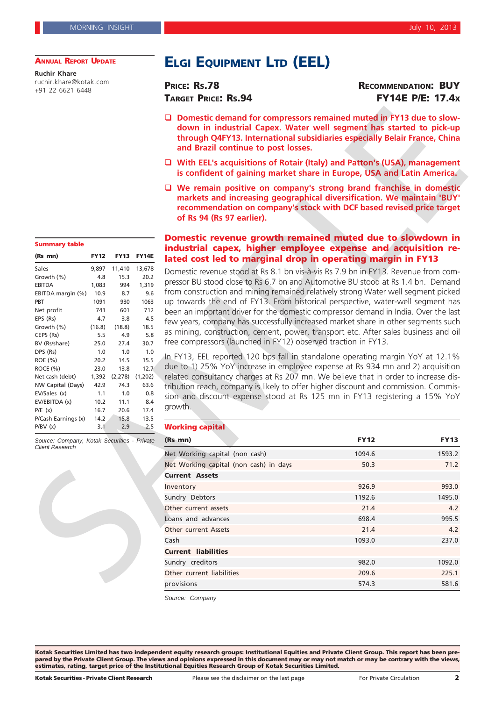#### **ANNUAL REPORT UPDATE**

**Ruchir Khare** ruchir.khare@kotak.com +91 22 6621 6448

# **ELGI EQUIPMENT LTD (EEL)**

**PRICE: RS.78 RECOMMENDATION: BUY TARGET PRICE: RS.94 FY14E P/E: 17.4X**

- □ Domestic demand for compressors remained muted in FY13 due to slow**down in industrial Capex. Water well segment has started to pick-up through Q4FY13. International subsidiaries especially Belair France, China and Brazil continue to post losses.**
- **With EEL's acquisitions of Rotair (Italy) and Patton's (USA), management is confident of gaining market share in Europe, USA and Latin America.**
- **We remain positive on company's strong brand franchise in domestic markets and increasing geographical diversification. We maintain 'BUY' recommendation on company's stock with DCF based revised price target of Rs 94 (Rs 97 earlier).**

### **Domestic revenue growth remained muted due to slowdown in industrial capex, higher employee expense and acquisition related cost led to marginal drop in operating margin in FY13**

#### **Working capital**

|                                                                       |               |                     |                   | □ Domestic demand for compressors remained muted in FY13 due to slow-<br>down in industrial Capex. Water well segment has started to pick-up<br>through Q4FY13. International subsidiaries especially Belair France, China<br>and Brazil continue to post losses. |             |             |  |
|-----------------------------------------------------------------------|---------------|---------------------|-------------------|-------------------------------------------------------------------------------------------------------------------------------------------------------------------------------------------------------------------------------------------------------------------|-------------|-------------|--|
|                                                                       |               |                     |                   | □ With EEL's acquisitions of Rotair (Italy) and Patton's (USA), management<br>is confident of gaining market share in Europe, USA and Latin America.                                                                                                              |             |             |  |
|                                                                       |               |                     |                   | $\Box$ We remain positive on company's strong brand franchise in domestic<br>markets and increasing geographical diversification. We maintain 'BUY'<br>recommendation on company's stock with DCF based revised price target<br>of Rs 94 (Rs 97 earlier).         |             |             |  |
| <b>Summary table</b>                                                  |               |                     |                   | Domestic revenue growth remained muted due to slowdown in                                                                                                                                                                                                         |             |             |  |
| (Rs mn)                                                               | <b>FY12</b>   |                     | <b>FY13 FY14E</b> | industrial capex, higher employee expense and acquisition re-                                                                                                                                                                                                     |             |             |  |
|                                                                       |               |                     |                   | lated cost led to marginal drop in operating margin in FY13                                                                                                                                                                                                       |             |             |  |
| Sales                                                                 |               | 9,897 11,410 13,678 |                   | Domestic revenue stood at Rs 8.1 bn vis-à-vis Rs 7.9 bn in FY13. Revenue from com-                                                                                                                                                                                |             |             |  |
| Growth (%)                                                            | 4.8           | 15.3                | 20.2              | pressor BU stood close to Rs 6.7 bn and Automotive BU stood at Rs 1.4 bn. Demand                                                                                                                                                                                  |             |             |  |
| <b>EBITDA</b><br>EBITDA margin (%)                                    | 1,083         | 994<br>8.7          | 1,319<br>9.6      | from construction and mining remained relatively strong Water well segment picked                                                                                                                                                                                 |             |             |  |
| PBT                                                                   | 10.9<br>1091  | 930                 | 1063              | up towards the end of FY13. From historical perspective, water-well segment has                                                                                                                                                                                   |             |             |  |
| Net profit                                                            | 741           | 601                 | 712               | been an important driver for the domestic compressor demand in India. Over the last                                                                                                                                                                               |             |             |  |
| EPS (Rs)                                                              | 4.7           | 3.8                 | 4.5               |                                                                                                                                                                                                                                                                   |             |             |  |
| Growth (%)                                                            | (16.8)        | (18.8)              | 18.5              | few years, company has successfully increased market share in other segments such                                                                                                                                                                                 |             |             |  |
| CEPS (Rs)                                                             | 5.5           | 4.9                 | 5.8               | as mining, construction, cement, power, transport etc. After sales business and oil                                                                                                                                                                               |             |             |  |
| BV (Rs/share)                                                         | 25.0          | 27.4                | 30.7              | free compressors (launched in FY12) observed traction in FY13.                                                                                                                                                                                                    |             |             |  |
| DPS (Rs)                                                              | 1.0           | 1.0                 | 1.0               | In FY13, EEL reported 120 bps fall in standalone operating margin YoY at 12.1%                                                                                                                                                                                    |             |             |  |
| ROE (%)                                                               | 20.2          | 14.5                | 15.5              | due to 1) 25% YoY increase in employee expense at Rs 934 mn and 2) acquisition                                                                                                                                                                                    |             |             |  |
| ROCE(%)                                                               | 23.0          | 13.8                | 12.7              |                                                                                                                                                                                                                                                                   |             |             |  |
| Net cash (debt)<br>NW Capital (Days)                                  | 1,392<br>42.9 | (2,278)<br>74.3     | (1,202)<br>63.6   | related consultancy charges at Rs 207 mn. We believe that in order to increase dis-                                                                                                                                                                               |             |             |  |
| EV/Sales (x)                                                          | 1.1           | 1.0                 | 0.8               | tribution reach, company is likely to offer higher discount and commission. Commis-                                                                                                                                                                               |             |             |  |
| EV/EBITDA (x)                                                         | 10.2          | 11.1                | 8.4               | sion and discount expense stood at Rs 125 mn in FY13 registering a 15% YoY                                                                                                                                                                                        |             |             |  |
| P/E(x)                                                                | 16.7          | 20.6                | 17.4              | growth.                                                                                                                                                                                                                                                           |             |             |  |
| P/Cash Earnings (x)                                                   | 14.2          | 15.8                | 13.5              |                                                                                                                                                                                                                                                                   |             |             |  |
| P/BV(x)                                                               | 3.1           | 2.9                 | 2.5               | <b>Working capital</b>                                                                                                                                                                                                                                            |             |             |  |
| Source: Company, Kotak Securities - Private<br><b>Client Research</b> |               |                     |                   | (Rs mn)                                                                                                                                                                                                                                                           | <b>FY12</b> | <b>FY13</b> |  |
|                                                                       |               |                     |                   | Net Working capital (non cash)                                                                                                                                                                                                                                    | 1094.6      | 1593.2      |  |
|                                                                       |               |                     |                   | Net Working capital (non cash) in days                                                                                                                                                                                                                            | 50.3        | 71.2        |  |
|                                                                       |               |                     |                   | <b>Current Assets</b>                                                                                                                                                                                                                                             |             |             |  |
|                                                                       |               |                     |                   | Inventory                                                                                                                                                                                                                                                         | 926.9       | 993.0       |  |
|                                                                       |               |                     |                   |                                                                                                                                                                                                                                                                   |             |             |  |
|                                                                       |               |                     |                   | Sundry Debtors                                                                                                                                                                                                                                                    | 1192.6      | 1495.0      |  |
|                                                                       |               |                     |                   | Other current assets                                                                                                                                                                                                                                              | 21.4        | 4.2         |  |
|                                                                       |               |                     |                   | Loans and advances                                                                                                                                                                                                                                                | 698.4       | 995.5       |  |
|                                                                       |               |                     |                   | <b>Other current Assets</b>                                                                                                                                                                                                                                       | 21.4        | 4.2         |  |
|                                                                       |               |                     |                   | Cash                                                                                                                                                                                                                                                              | 1093.0      | 237.0       |  |
|                                                                       |               |                     |                   | <b>Current liabilities</b>                                                                                                                                                                                                                                        |             |             |  |
|                                                                       |               |                     |                   | Sundry creditors                                                                                                                                                                                                                                                  | 982.0       | 1092.0      |  |
|                                                                       |               |                     |                   | Other current liabilities                                                                                                                                                                                                                                         | 209.6       | 225.1       |  |
|                                                                       |               |                     |                   |                                                                                                                                                                                                                                                                   |             |             |  |
|                                                                       |               |                     |                   | provisions                                                                                                                                                                                                                                                        | 574.3       | 581.6       |  |

*Source: Company*

**Kotak Securities Limited has two independent equity research groups: Institutional Equities and Private Client Group. This report has been prepared by the Private Client Group. The views and opinions expressed in this document may or may not match or may be contrary with the views, estimates, rating, target price of the Institutional Equities Research Group of Kotak Securities Limited.**

# **(Rs mn) FY12 FY13 FY14E**

| Sales               | 9,897  | 11,410   | 13,678  |
|---------------------|--------|----------|---------|
| Growth (%)          | 4.8    | 15.3     | 20.2    |
| <b>EBITDA</b>       | 1,083  | 994      | 1,319   |
| EBITDA margin (%)   | 10.9   | 8.7      | 9.6     |
| PBT                 | 1091   | 930      | 1063    |
| Net profit          | 741    | 601      | 712     |
| EPS (Rs)            | 4.7    | 3.8      | 4.5     |
| Growth (%)          | (16.8) | (18.8)   | 18.5    |
| CEPS (Rs)           | 5.5    | 4.9      | 5.8     |
| BV (Rs/share)       | 25.0   | 27.4     | 30.7    |
| DPS (Rs)            | 1.0    | 1.0      | 1.0     |
| ROE (%)             | 20.2   | 14.5     | 15.5    |
| ROCE (%)            | 23.0   | 13.8     | 12.7    |
| Net cash (debt)     | 1,392  | (2, 278) | (1,202) |
| NW Capital (Days)   | 42.9   | 74.3     | 63.6    |
| EV/Sales (x)        | 1.1    | 1.0      | 0.8     |
| EV/EBITDA (x)       | 10.2   | 11.1     | 8.4     |
| P/E(x)              | 16.7   | 20.6     | 17.4    |
| P/Cash Earnings (x) | 14.2   | 15.8     | 13.5    |
| P/BV(x)             | 3.1    | 2.9      | 2.5     |

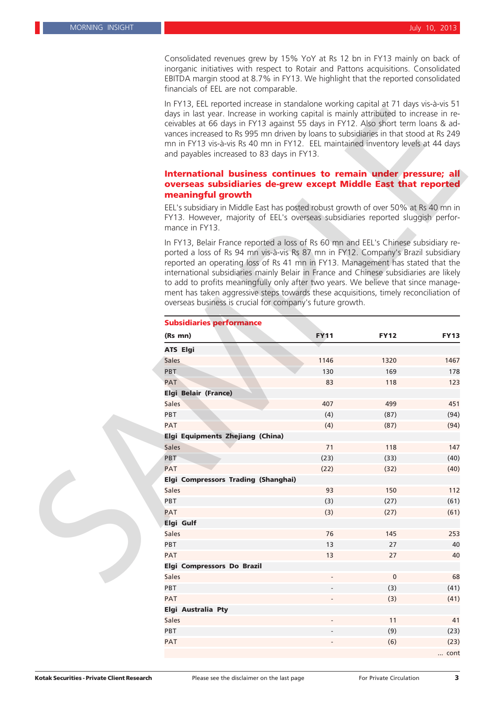Consolidated revenues grew by 15% YoY at Rs 12 bn in FY13 mainly on back of inorganic initiatives with respect to Rotair and Pattons acquisitions. Consolidated EBITDA margin stood at 8.7% in FY13. We highlight that the reported consolidated financials of EEL are not comparable.

In FY13, EEL reported increase in standalone working capital at 71 days vis-à-vis 51 days in last year. Increase in working capital is mainly attributed to increase in receivables at 66 days in FY13 against 55 days in FY12. Also short term loans & advances increased to Rs 995 mn driven by loans to subsidiaries in that stood at Rs 249 mn in FY13 vis-à-vis Rs 40 mn in FY12. EEL maintained inventory levels at 44 days and payables increased to 83 days in FY13.

### **International business continues to remain under pressure; all overseas subsidiaries de-grew except Middle East that reported meaningful growth**

| <u>III FT 15, EEL Teported IIICRease III Stariualorie Worklify Capital at 7 F uays VIS-a-VIS 5 F</u><br>days in last year. Increase in working capital is mainly attributed to increase in re-<br>ceivables at 66 days in FY13 against 55 days in FY12. Also short term loans & ad-<br>vances increased to Rs 995 mn driven by loans to subsidiaries in that stood at Rs 249<br>mn in FY13 vis-à-vis Rs 40 mn in FY12. EEL maintained inventory levels at 44 days<br>and payables increased to 83 days in FY13.                                                                                 |             |             |             |  |
|-------------------------------------------------------------------------------------------------------------------------------------------------------------------------------------------------------------------------------------------------------------------------------------------------------------------------------------------------------------------------------------------------------------------------------------------------------------------------------------------------------------------------------------------------------------------------------------------------|-------------|-------------|-------------|--|
| International business continues to remain under pressure; all                                                                                                                                                                                                                                                                                                                                                                                                                                                                                                                                  |             |             |             |  |
| overseas subsidiaries de-grew except Middle East that reported                                                                                                                                                                                                                                                                                                                                                                                                                                                                                                                                  |             |             |             |  |
| meaningful growth                                                                                                                                                                                                                                                                                                                                                                                                                                                                                                                                                                               |             |             |             |  |
| EEL's subsidiary in Middle East has posted robust growth of over 50% at Rs 40 mn in<br>FY13. However, majority of EEL's overseas subsidiaries reported sluggish perfor-<br>mance in FY13.                                                                                                                                                                                                                                                                                                                                                                                                       |             |             |             |  |
| In FY13, Belair France reported a loss of Rs 60 mn and EEL's Chinese subsidiary re-<br>ported a loss of Rs 94 mn vis-à-vis Rs 87 mn in FY12. Company's Brazil subsidiary<br>reported an operating loss of Rs 41 mn in FY13. Management has stated that the<br>international subsidiaries mainly Belair in France and Chinese subsidiaries are likely<br>to add to profits meaningfully only after two years. We believe that since manage-<br>ment has taken aggressive steps towards these acquisitions, timely reconciliation of<br>overseas business is crucial for company's future growth. |             |             |             |  |
| <b>Subsidiaries performance</b>                                                                                                                                                                                                                                                                                                                                                                                                                                                                                                                                                                 |             |             |             |  |
| (Rs mn)                                                                                                                                                                                                                                                                                                                                                                                                                                                                                                                                                                                         | <b>FY11</b> | <b>FY12</b> | <b>FY13</b> |  |
| <b>ATS Elgi</b>                                                                                                                                                                                                                                                                                                                                                                                                                                                                                                                                                                                 |             |             |             |  |
| <b>Sales</b>                                                                                                                                                                                                                                                                                                                                                                                                                                                                                                                                                                                    | 1146        | 1320        | 1467        |  |
| PBT                                                                                                                                                                                                                                                                                                                                                                                                                                                                                                                                                                                             | 130         | 169         | 178         |  |
| PAT                                                                                                                                                                                                                                                                                                                                                                                                                                                                                                                                                                                             | 83          | 118         | 123         |  |
| Elgi Belair (France)                                                                                                                                                                                                                                                                                                                                                                                                                                                                                                                                                                            |             |             |             |  |
| <b>Sales</b>                                                                                                                                                                                                                                                                                                                                                                                                                                                                                                                                                                                    | 407         | 499         | 451         |  |
| PBT                                                                                                                                                                                                                                                                                                                                                                                                                                                                                                                                                                                             | (4)         | (87)        | (94)        |  |
| <b>PAT</b>                                                                                                                                                                                                                                                                                                                                                                                                                                                                                                                                                                                      | (4)         | (87)        | (94)        |  |
| Elgi Equipments Zhejiang (China)                                                                                                                                                                                                                                                                                                                                                                                                                                                                                                                                                                |             |             |             |  |
| <b>Sales</b>                                                                                                                                                                                                                                                                                                                                                                                                                                                                                                                                                                                    | 71          | 118         | 147         |  |
| PBT                                                                                                                                                                                                                                                                                                                                                                                                                                                                                                                                                                                             | (23)        | (33)        | (40)        |  |
| <b>PAT</b>                                                                                                                                                                                                                                                                                                                                                                                                                                                                                                                                                                                      | (22)        | (32)        | (40)        |  |
| Elgi Compressors Trading (Shanghai)                                                                                                                                                                                                                                                                                                                                                                                                                                                                                                                                                             |             |             |             |  |
| <b>Sales</b>                                                                                                                                                                                                                                                                                                                                                                                                                                                                                                                                                                                    | 93          | 150         | 112         |  |
| PBT                                                                                                                                                                                                                                                                                                                                                                                                                                                                                                                                                                                             | (3)         | (27)        | (61)        |  |
| <b>PAT</b>                                                                                                                                                                                                                                                                                                                                                                                                                                                                                                                                                                                      | (3)         | (27)        | (61)        |  |
| Elgi Gulf                                                                                                                                                                                                                                                                                                                                                                                                                                                                                                                                                                                       |             |             |             |  |
| <b>Sales</b>                                                                                                                                                                                                                                                                                                                                                                                                                                                                                                                                                                                    | 76          | 145         | 253         |  |
| PBT                                                                                                                                                                                                                                                                                                                                                                                                                                                                                                                                                                                             | 13          | 27          | 40          |  |
| PAT                                                                                                                                                                                                                                                                                                                                                                                                                                                                                                                                                                                             | 13          | 27          | 40          |  |
| Elgi Compressors Do Brazil                                                                                                                                                                                                                                                                                                                                                                                                                                                                                                                                                                      |             |             |             |  |
| <b>Sales</b>                                                                                                                                                                                                                                                                                                                                                                                                                                                                                                                                                                                    |             | $\pmb{0}$   | 68          |  |
|                                                                                                                                                                                                                                                                                                                                                                                                                                                                                                                                                                                                 |             |             |             |  |
| PBT                                                                                                                                                                                                                                                                                                                                                                                                                                                                                                                                                                                             |             | (3)         | (41)        |  |
| <b>PAT</b>                                                                                                                                                                                                                                                                                                                                                                                                                                                                                                                                                                                      |             | (3)         | (41)        |  |
| <b>Elgi Australia Pty</b>                                                                                                                                                                                                                                                                                                                                                                                                                                                                                                                                                                       |             |             |             |  |
| <b>Sales</b>                                                                                                                                                                                                                                                                                                                                                                                                                                                                                                                                                                                    |             | 11          | 41          |  |
| PBT                                                                                                                                                                                                                                                                                                                                                                                                                                                                                                                                                                                             |             | (9)         | (23)        |  |
| <b>PAT</b>                                                                                                                                                                                                                                                                                                                                                                                                                                                                                                                                                                                      |             | (6)         | (23)        |  |
|                                                                                                                                                                                                                                                                                                                                                                                                                                                                                                                                                                                                 |             |             | cont        |  |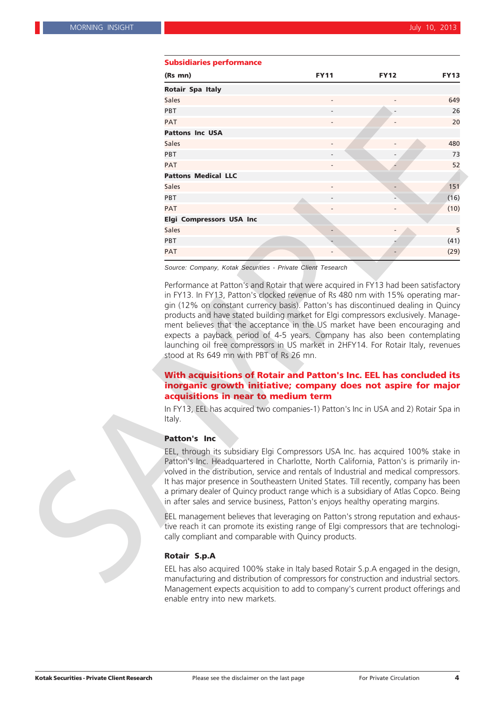| <b>Supsiglaries performance</b>                                                                                                                                                                                                                                                                                                                                                                                                                                                                                                        |             |             |             |
|----------------------------------------------------------------------------------------------------------------------------------------------------------------------------------------------------------------------------------------------------------------------------------------------------------------------------------------------------------------------------------------------------------------------------------------------------------------------------------------------------------------------------------------|-------------|-------------|-------------|
| (Rs mn)                                                                                                                                                                                                                                                                                                                                                                                                                                                                                                                                | <b>FY11</b> | <b>FY12</b> | <b>FY13</b> |
| <b>Rotair Spa Italy</b>                                                                                                                                                                                                                                                                                                                                                                                                                                                                                                                |             |             |             |
| <b>Sales</b>                                                                                                                                                                                                                                                                                                                                                                                                                                                                                                                           |             |             | 649         |
| <b>PBT</b>                                                                                                                                                                                                                                                                                                                                                                                                                                                                                                                             |             |             | 26          |
| <b>PAT</b>                                                                                                                                                                                                                                                                                                                                                                                                                                                                                                                             |             |             | 20          |
| <b>Pattons Inc USA</b>                                                                                                                                                                                                                                                                                                                                                                                                                                                                                                                 |             |             |             |
| <b>Sales</b>                                                                                                                                                                                                                                                                                                                                                                                                                                                                                                                           |             |             | 480         |
| PBT                                                                                                                                                                                                                                                                                                                                                                                                                                                                                                                                    |             |             | 73          |
| <b>PAT</b>                                                                                                                                                                                                                                                                                                                                                                                                                                                                                                                             |             |             | 52          |
| <b>Pattons Medical LLC</b>                                                                                                                                                                                                                                                                                                                                                                                                                                                                                                             |             |             |             |
| <b>Sales</b>                                                                                                                                                                                                                                                                                                                                                                                                                                                                                                                           |             |             | 151         |
| PBT                                                                                                                                                                                                                                                                                                                                                                                                                                                                                                                                    |             |             | (16)        |
| <b>PAT</b>                                                                                                                                                                                                                                                                                                                                                                                                                                                                                                                             |             |             | (10)        |
| <b>Elgi Compressors USA Inc</b>                                                                                                                                                                                                                                                                                                                                                                                                                                                                                                        |             |             |             |
| <b>Sales</b>                                                                                                                                                                                                                                                                                                                                                                                                                                                                                                                           |             |             | 5           |
| <b>PBT</b>                                                                                                                                                                                                                                                                                                                                                                                                                                                                                                                             |             |             | (41)        |
| <b>PAT</b>                                                                                                                                                                                                                                                                                                                                                                                                                                                                                                                             |             |             | (29)        |
| Source: Company, Kotak Securities - Private Client Tesearch                                                                                                                                                                                                                                                                                                                                                                                                                                                                            |             |             |             |
| products and have stated building market for Elgi compressors exclusively. Manage-<br>ment believes that the acceptance in the US market have been encouraging and<br>expects a payback period of 4-5 years. Company has also been contemplating<br>launching oil free compressors in US market in 2HFY14. For Rotair Italy, revenues<br>stood at Rs 649 mn with PBT of Rs 26 mn.                                                                                                                                                      |             |             |             |
| With acquisitions of Rotair and Patton's Inc. EEL has concluded its<br>inorganic growth initiative; company does not aspire for major                                                                                                                                                                                                                                                                                                                                                                                                  |             |             |             |
| acquisitions in near to medium term                                                                                                                                                                                                                                                                                                                                                                                                                                                                                                    |             |             |             |
| In FY13, EEL has acquired two companies-1) Patton's Inc in USA and 2) Rotair Spa in<br>Italy.                                                                                                                                                                                                                                                                                                                                                                                                                                          |             |             |             |
| <b>Patton's Inc</b>                                                                                                                                                                                                                                                                                                                                                                                                                                                                                                                    |             |             |             |
| EEL, through its subsidiary Elgi Compressors USA Inc. has acquired 100% stake in<br>Patton's Inc. Headquartered in Charlotte, North California, Patton's is primarily in-<br>volved in the distribution, service and rentals of Industrial and medical compressors.<br>It has major presence in Southeastern United States. Till recently, company has been<br>a primary dealer of Quincy product range which is a subsidiary of Atlas Copco. Being<br>in after sales and service business, Patton's enjoys healthy operating margins. |             |             |             |
| EEL management believes that leveraging on Patton's strong reputation and exhaus-<br>tive reach it can promote its existing range of Elgi compressors that are technologi-<br>cally compliant and comparable with Quincy products.                                                                                                                                                                                                                                                                                                     |             |             |             |
| <b>Rotair S.p.A</b>                                                                                                                                                                                                                                                                                                                                                                                                                                                                                                                    |             |             |             |
|                                                                                                                                                                                                                                                                                                                                                                                                                                                                                                                                        |             |             |             |
| EEL has also acquired 100% stake in Italy based Rotair S.p.A engaged in the design,<br>manufacturing and distribution of compressors for construction and industrial sectors.<br>Management expects acquisition to add to company's current product offerings and                                                                                                                                                                                                                                                                      |             |             |             |

#### **Subsidiaries performance**

#### **With acquisitions of Rotair and Patton's Inc. EEL has concluded its inorganic growth initiative; company does not aspire for major acquisitions in near to medium term**

#### **Patton's Inc**

#### **Rotair S.p.A**

EEL has also acquired 100% stake in Italy based Rotair S.p.A engaged in the design, manufacturing and distribution of compressors for construction and industrial sectors. enable entry into new markets.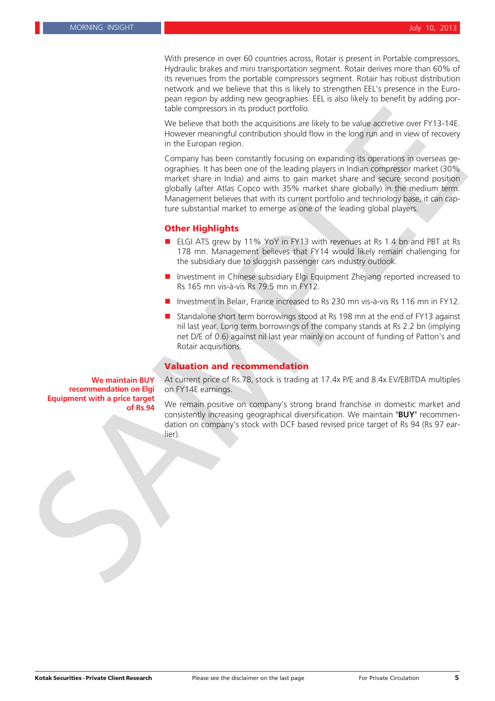With presence in over 60 countries across, Rotair is present in Portable compressors, Hydraulic brakes and mini transportation segment. Rotair derives more than 60% of its revenues from the portable compressors segment. Rotair has robust distribution network and we believe that this is likely to strengthen EEL's presence in the European region by adding new geographies. EEL is also likely to benefit by adding portable compressors in its product portfolio.

We believe that both the acquisitions are likely to be value accretive over FY13-14E. However meaningful contribution should flow in the long run and in view of recovery in the Europan region.

Company has been constantly focusing on expanding its operations in overseas geographies. It has been one of the leading players in Indian compressor market (30% market share in India) and aims to gain market share and secure second position globally (after Atlas Copco with 35% market share globally) in the medium term. Management believes that with its current portfolio and technology base, it can capture substantial market to emerge as one of the leading global players. **State corresterior in its product posterior in the legion of the scaling of the state of the state of the state of the state of the state of the state of the state of the state of the state of the state of the state of th** 

#### **Other Highlights**

- ELGI ATS grew by 11% YoY in FY13 with revenues at Rs 1.4 bn and PBT at Rs 178 mn. Management believes that FY14 would likely remain challenging for the subsidiary due to sluggish passenger cars industry outlook.
- **Investment in Chinese subsidiary Elgi Equipment Zhejiang reported increased to** Rs 165 mn vis-à-vis Rs 79.5 mn in FY12.
- Investment in Belair, France increased to Rs 230 mn vis-à-vis Rs 116 mn in FY12.
- Standalone short term borrowings stood at Rs 198 mn at the end of FY13 against nil last year. Long term borrowings of the company stands at Rs 2.2 bn (implying net D/E of 0.6) against nil last year mainly on account of funding of Patton's and Rotair acquisitions.

#### **Valuation and recommendation**

**We maintain BUY recommendation on Elgi Equipment with a price target** At current price of Rs.78, stock is trading at 17.4x P/E and 8.4x EV/EBITDA multiples on FY14E earnings.

We remain positive on company's strong brand franchise in domestic market and consistently increasing geographical diversification. We maintain **'BUY'** recommendation on company's stock with DCF based revised price target of Rs 94 (Rs 97 earlier).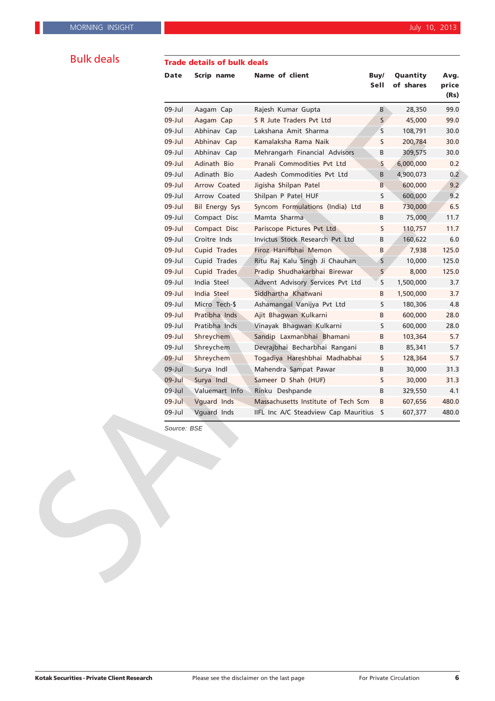### **Trade details of bulk deals**

| <b>Date</b> | Scrip name            | <b>Name of client</b>                  | Buy/<br>Sell | Quantity<br>of shares | Avg.<br>price<br>(Rs) |
|-------------|-----------------------|----------------------------------------|--------------|-----------------------|-----------------------|
| 09-Jul      | Aagam Cap             | Rajesh Kumar Gupta                     | B            | 28,350                | 99.0                  |
| $09$ -Jul   | Aagam Cap             | S R Jute Traders Pvt Ltd               | $S_{\ell}$   | 45,000                | 99.0                  |
| 09-Jul      | Abhinav Cap           | Lakshana Amit Sharma                   | S            | 108,791               | 30.0                  |
| $09$ -Jul   | Abhinav Cap           | Kamalaksha Rama Naik                   | S            | 200,784               | 30.0                  |
| 09-Jul      | Abhinav Cap           | Mehrangarh Financial Advisors          | В            | 309,575               | 30.0                  |
| $09$ -Jul   | Adinath Bio           | Pranali Commodities Pvt Ltd            | S            | 6,000,000             | 0.2                   |
| 09-Jul      | Adinath Bio           | Aadesh Commodities Pvt Ltd             | В            | 4,900,073             | 0.2                   |
| $09$ -Jul   | Arrow Coated          | Jigisha Shilpan Patel                  | B            | 600,000               | 9.2                   |
| 09-Jul      | Arrow Coated          | Shilpan P Patel HUF                    | S            | 600,000               | 9.2                   |
| $09$ -Jul   | <b>Bil Energy Sys</b> | Syncom Formulations (India) Ltd        | В            | 730,000               | 6.5                   |
| 09-Jul      | Compact Disc          | Mamta Sharma                           | B            | 75,000                | 11.7                  |
| $09$ -Jul   | Compact Disc          | Pariscope Pictures Pvt Ltd             | S            | 110,757               | 11.7                  |
| 09-Jul      | Croitre Inds          | Invictus Stock Research Pvt Ltd        | B            | 160,622               | 6.0                   |
| $09$ -Jul   | Cupid Trades          | Firoz Hanifbhai Memon                  | В            | 7,938                 | 125.0                 |
| 09-Jul      | Cupid Trades          | Ritu Raj Kalu Singh Ji Chauhan         | S            | 10,000                | 125.0                 |
| $09$ -Jul   | Cupid Trades          | Pradip Shudhakarbhai Birewar           | $\mathsf S$  | 8,000                 | 125.0                 |
| 09-Jul      | India Steel           | Advent Advisory Services Pvt Ltd       | S            | 1,500,000             | 3.7                   |
| $09$ -Jul   | India Steel           | Siddhartha Khatwani                    | В            | 1,500,000             | 3.7                   |
| 09-Jul      | Micro Tech-\$         | Ashamangal Vanijya Pvt Ltd             | S            | 180,306               | 4.8                   |
| $09$ -Jul   | Pratibha Inds         | Ajit Bhagwan Kulkarni                  | В            | 600,000               | 28.0                  |
| 09-Jul      | Pratibha Inds         | Vinayak Bhagwan Kulkarni               | S            | 600,000               | 28.0                  |
| $09$ -Jul   | Shreychem             | Sandip Laxmanbhai Bhamani              | В            | 103,364               | 5.7                   |
| 09-Jul      | Shreychem             | Devrajbhai Becharbhai Rangani          | В            | 85,341                | 5.7                   |
| $09$ -Jul   | Shreychem             | Togadiya Hareshbhai Madhabhai          | S            | 128,364               | 5.7                   |
| $09$ -Jul   | Surya Indl            | Mahendra Sampat Pawar                  | В            | 30,000                | 31.3                  |
| $09$ -Jul   | Surya Indl            | Sameer D Shah (HUF)                    | S            | 30,000                | 31.3                  |
| $09$ -Jul   | Valuemart Info        | Rinku Deshpande                        | В            | 329,550               | 4.1                   |
| $09$ -Jul   | Vguard Inds           | Massachusetts Institute of Tech Scm    | В            | 607,656               | 480.0                 |
| 09-Jul      | Vguard Inds           | IIFL Inc A/C Steadview Cap Mauritius S |              | 607,377               | 480.0                 |
|             | Source: BSE           |                                        |              |                       |                       |

**Kotak Securities - Private Client Research** Please see the disclaimer on the last page For Private Circulation 6